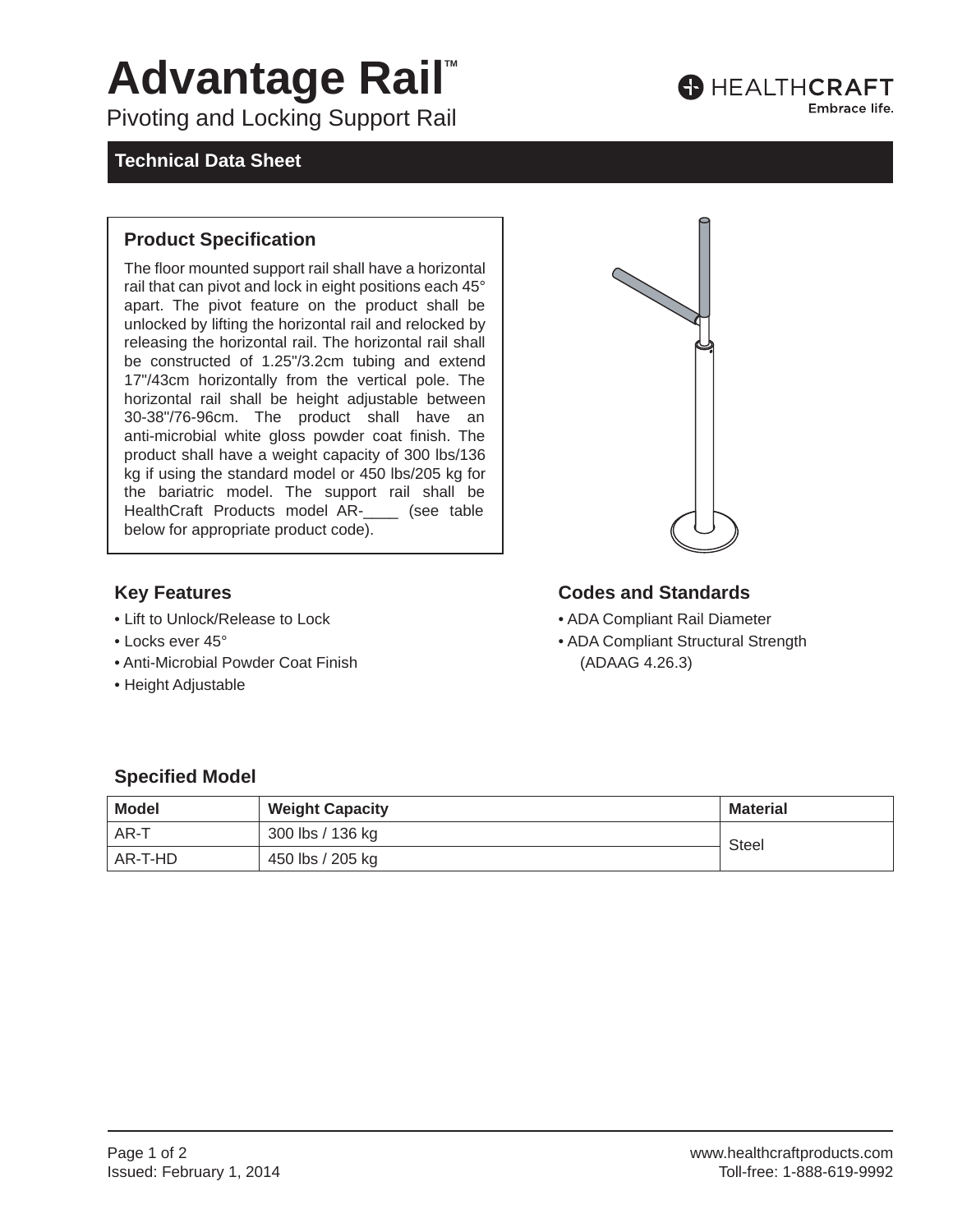# **Advantage Rail™**

Pivoting and Locking Support Rail

### **Technical Data Sheet**

#### **Product Specification**

The floor mounted support rail shall have a horizontal rail that can pivot and lock in eight positions each 45° apart. The pivot feature on the product shall be unlocked by lifting the horizontal rail and relocked by releasing the horizontal rail. The horizontal rail shall be constructed of 1.25"/3.2cm tubing and extend 17"/43cm horizontally from the vertical pole. The horizontal rail shall be height adjustable between 30-38"/76-96cm. The product shall have an anti-microbial white gloss powder coat finish. The product shall have a weight capacity of 300 lbs/136 kg if using the standard model or 450 lbs/205 kg for the bariatric model. The support rail shall be HealthCraft Products model AR-\_\_\_\_ (see table below for appropriate product code).



- Lift to Unlock/Release to Lock
- Locks ever 45°
- Anti-Microbial Powder Coat Finish
- Height Adjustable

#### **Key Features Codes and Standards**

- ADA Compliant Rail Diameter
- ADA Compliant Structural Strength (ADAAG 4.26.3)

### **Specified Model**

| <b>Model</b> | <b>Weight Capacity</b> | <b>Material</b> |  |
|--------------|------------------------|-----------------|--|
| AR-T         | 300 lbs / 136 kg       | <b>Steel</b>    |  |
| AR-T-HD      | 450 lbs / 205 kg       |                 |  |